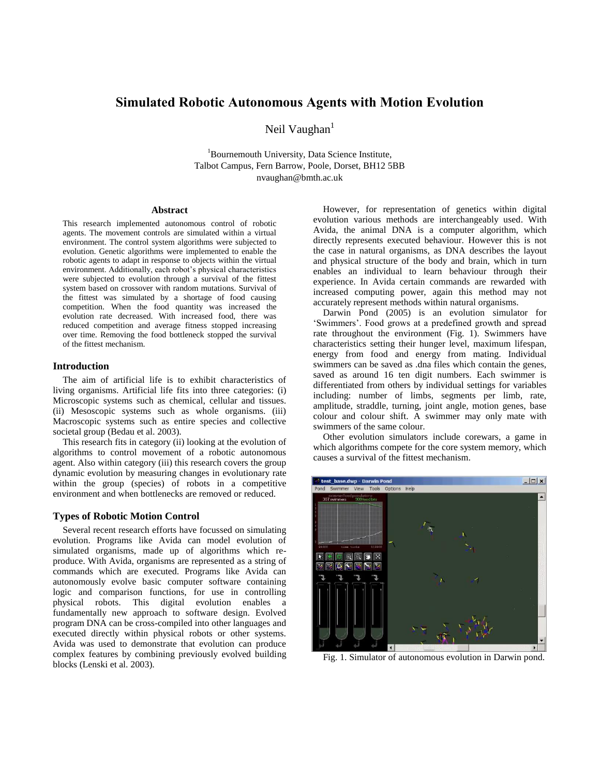# **Simulated Robotic Autonomous Agents with Motion Evolution**

Neil Vaughan $<sup>1</sup>$ </sup>

<sup>1</sup>Bournemouth University, Data Science Institute, Talbot Campus, Fern Barrow, Poole, Dorset, BH12 5BB nvaughan@bmth.ac.uk

#### **Abstract**

This research implemented autonomous control of robotic agents. The movement controls are simulated within a virtual environment. The control system algorithms were subjected to evolution. Genetic algorithms were implemented to enable the robotic agents to adapt in response to objects within the virtual environment. Additionally, each robot's physical characteristics were subjected to evolution through a survival of the fittest system based on crossover with random mutations. Survival of the fittest was simulated by a shortage of food causing competition. When the food quantity was increased the evolution rate decreased. With increased food, there was reduced competition and average fitness stopped increasing over time. Removing the food bottleneck stopped the survival of the fittest mechanism.

## **Introduction**

The aim of artificial life is to exhibit characteristics of living organisms. Artificial life fits into three categories: (i) Microscopic systems such as chemical, cellular and tissues. (ii) Mesoscopic systems such as whole organisms. (iii) Macroscopic systems such as entire species and collective societal group (Bedau et al. 2003).

This research fits in category (ii) looking at the evolution of algorithms to control movement of a robotic autonomous agent. Also within category (iii) this research covers the group dynamic evolution by measuring changes in evolutionary rate within the group (species) of robots in a competitive environment and when bottlenecks are removed or reduced.

## **Types of Robotic Motion Control**

Several recent research efforts have focussed on simulating evolution. Programs like Avida can model evolution of simulated organisms, made up of algorithms which reproduce. With Avida, organisms are represented as a string of commands which are executed. Programs like Avida can autonomously evolve basic computer software containing logic and comparison functions, for use in controlling physical robots. This digital evolution enables a fundamentally new approach to software design. Evolved program DNA can be cross-compiled into other languages and executed directly within physical robots or other systems. Avida was used to demonstrate that evolution can produce complex features by combining previously evolved building blocks (Lenski et al. 2003).

However, for representation of genetics within digital evolution various methods are interchangeably used. With Avida, the animal DNA is a computer algorithm, which directly represents executed behaviour. However this is not the case in natural organisms, as DNA describes the layout and physical structure of the body and brain, which in turn enables an individual to learn behaviour through their experience. In Avida certain commands are rewarded with increased computing power, again this method may not accurately represent methods within natural organisms.

Darwin Pond (2005) is an evolution simulator for 'Swimmers'. Food grows at a predefined growth and spread rate throughout the environment (Fig. 1). Swimmers have characteristics setting their hunger level, maximum lifespan, energy from food and energy from mating. Individual swimmers can be saved as .dna files which contain the genes, saved as around 16 ten digit numbers. Each swimmer is differentiated from others by individual settings for variables including: number of limbs, segments per limb, rate, amplitude, straddle, turning, joint angle, motion genes, base colour and colour shift. A swimmer may only mate with swimmers of the same colour.

Other evolution simulators include corewars, a game in which algorithms compete for the core system memory, which causes a survival of the fittest mechanism.



Fig. 1. Simulator of autonomous evolution in Darwin pond.